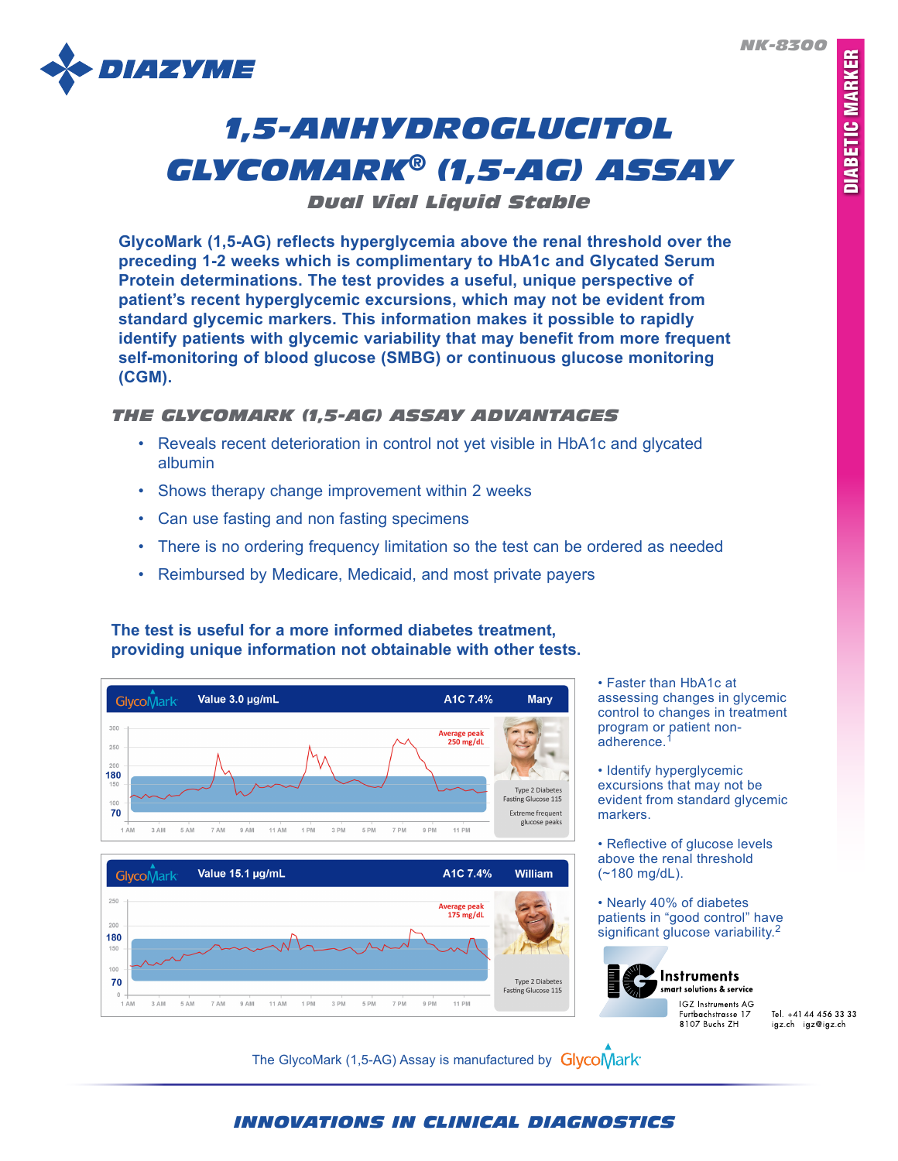*NK-8300*



# *1,5-ANHYDROGLUCITOL GLYCOMARK® (1,5-AG) ASSAY*

*Dual Vial Liquid Stable*

**GlycoMark (1,5-AG) reflects hyperglycemia above the renal threshold over the preceding 1-2 weeks which is complimentary to HbA1c and Glycated Serum Protein determinations. The test provides a useful, unique perspective of patient's recent hyperglycemic excursions, which may not be evident from standard glycemic markers. This information makes it possible to rapidly identify patients with glycemic variability that may benefit from more frequent self-monitoring of blood glucose (SMBG) or continuous glucose monitoring (CGM).**

# *THE GLYCOMARK (1,5-AG) ASSAY ADVANTAGES*

- Reveals recent deterioration in control not yet visible in HbA1c and glycated albumin
- Shows therapy change improvement within 2 weeks
- Can use fasting and non fasting specimens
- There is no ordering frequency limitation so the test can be ordered as needed
- Reimbursed by Medicare, Medicaid, and most private payers

# **The test is useful for a more informed diabetes treatment, providing unique information not obtainable with other tests.**



• Faster than HbA1c at assessing changes in glycemic control to changes in treatment program or patient nonadherence.<sup>1</sup>

• Identify hyperglycemic excursions that may not be evident from standard glycemic markers.

• Reflective of glucose levels above the renal threshold (~180 mg/dL).

• Nearly 40% of diabetes patients in "good control" have significant glucose variability.<sup>2</sup>



**Instruments** smart solutions & service **IGZ** Instruments AG Furtbachstrasse 17 8107 Buchs 7H

Tel. +41 44 456 33 33 igz.ch igz@igz.ch

The GlycoMark (1,5-AG) Assay is manufactured by GlycoMark

# *INNOVATIONS IN CLINICAL DIAGNOSTICS*